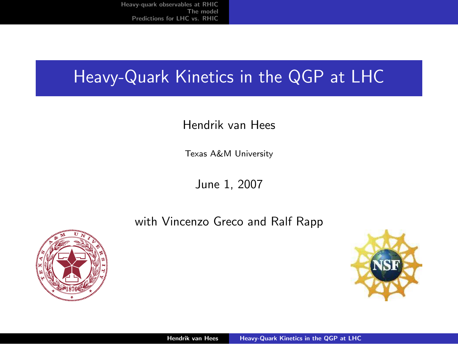## Heavy-Quark Kinetics in the QGP at LHC

#### Hendrik van Hees

Texas A&M University

June 1, 2007

with Vincenzo Greco and Ralf Rapp



<span id="page-0-0"></span>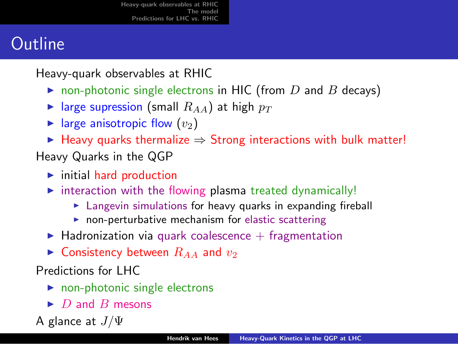# **Outline**

Heavy-quark observables at RHIC

- non-photonic single electrons in HIC (from D and B decays)
- large supression (small  $R_{AA}$ ) at high  $p_T$
- large anisotropic flow  $(v_2)$
- $▶$  Heavy quarks thermalize  $\Rightarrow$  Strong interactions with bulk matter!

#### Heavy Quarks in the QGP

- $\blacktriangleright$  initial hard production
- $\triangleright$  interaction with the flowing plasma treated dynamically!
	- $\blacktriangleright$  Langevin simulations for heavy quarks in expanding fireball
	- $\triangleright$  non-perturbative mechanism for elastic scattering
- $\blacktriangleright$  Hadronization via quark coalescence  $+$  fragmentation
- $\blacktriangleright$  Consistency between  $R_{AA}$  and  $v_2$

Predictions for LHC

- $\triangleright$  non-photonic single electrons
- $\blacktriangleright$  D and B mesons

A glance at  $J/\Psi$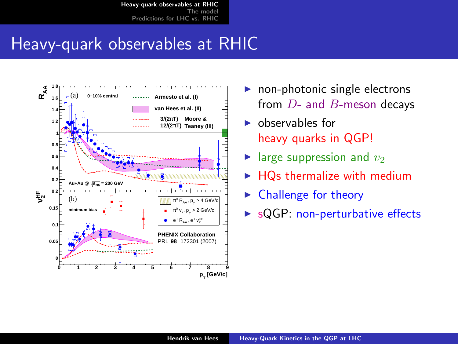## Heavy-quark observables at RHIC



- non-photonic single electrons from  $D$ - and  $B$ -meson decays
- $\blacktriangleright$  observables for heavy quarks in QGP!
- large suppression and  $v_2$
- $\blacktriangleright$  HQs thermalize with medium
- $\blacktriangleright$  Challenge for theory
- <span id="page-2-0"></span> $\triangleright$  sQGP: non-perturbative effects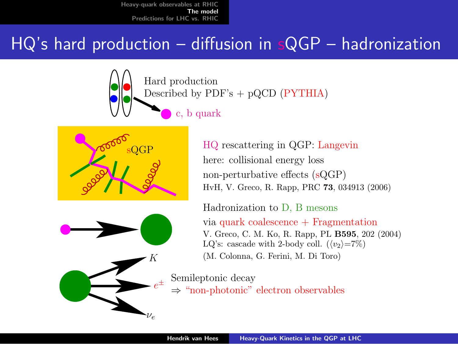## $HQ's$  hard production – diffusion in sQGP – hadronization

Hard production Described by  $PDF's + pQCD$  ( $PYTHIA$ )

c, b quark







here: collisional energy loss HQ rescattering in QGP: Langevin non-perturbative effects (sQGP) HvH, V. Greco, R. Rapp, PRC 73, 034913 (2006)

<span id="page-3-0"></span>via quark coalescence + Fragmentation Hadronization to D, B mesons (M. Colonna, G. Ferini, M. Di Toro) V. Greco, C. M. Ko, R. Rapp, PL B595, 202 (2004) LQ's: cascade with 2-body coll.  $(\langle v_2 \rangle = 7\%)$ 

Semileptonic decay ⇒ "non-photonic" electron observables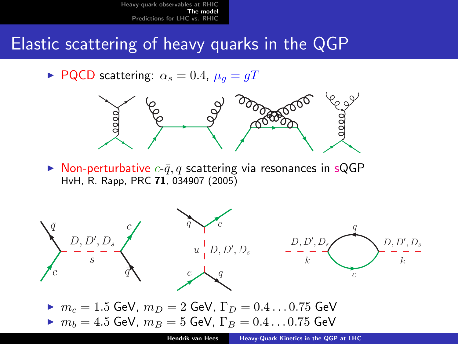#### Elastic scattering of heavy quarks in the QGP

 $\blacktriangleright$  PQCD scattering:  $\alpha_s = 0.4$ ,  $\mu_g = gT$ 



 $\triangleright$  Non-perturbative  $c$ - $\bar{q}$ , q scattering via resonances in sQGP HvH, R. Rapp, PRC 71, 034907 (2005)

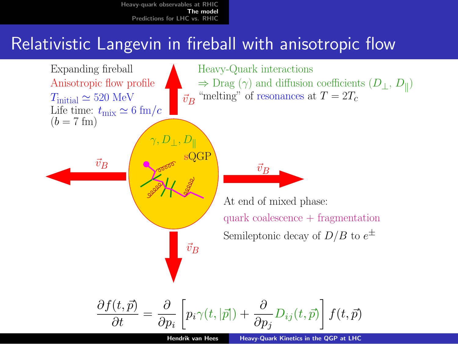## Relativistic Langevin in fireball with anisotropic flow

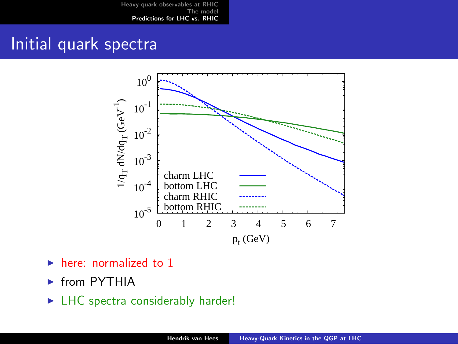## Initial quark spectra



- $\blacktriangleright$  here: normalized to 1
- $\triangleright$  from PYTHIA
- <span id="page-6-0"></span> $\blacktriangleright$  LHC spectra considerably harder!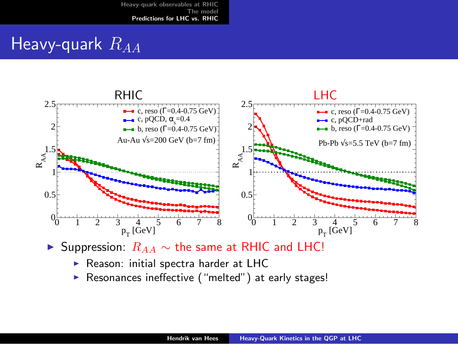## Heavy-quark  $R_{AA}$



► Suppression:  $R_{AA} \sim$  the same at RHIC and LHC!

- $\triangleright$  Reason: initial spectra harder at LHC
- $\triangleright$  Resonances ineffective ("melted") at early stages!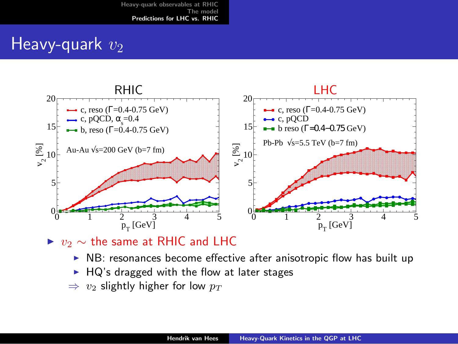## Heavy-quark  $v_2$



 $\triangleright v_2 \sim$  the same at RHIC and LHC

- $\triangleright$  NB: resonances become effective after anisotropic flow has built up
- $\blacktriangleright$  HQ's dragged with the flow at later stages
- $\Rightarrow$   $v_2$  slightly higher for low  $p_T$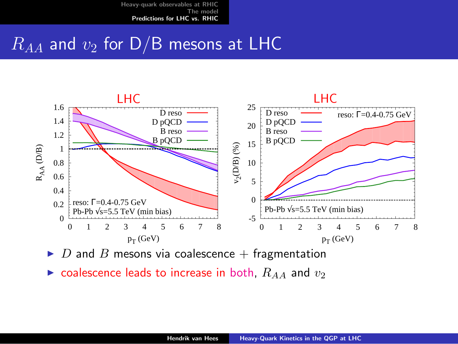## $R_{AA}$  and  $v_2$  for D/B mesons at LHC



 $\triangleright$  D and B mesons via coalescence + fragmentation

 $\triangleright$  coalescence leads to increase in both,  $R_{AA}$  and  $v_2$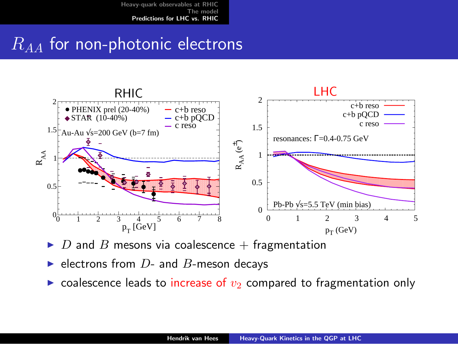## $R_{AA}$  for non-photonic electrons



- $\triangleright$  D and B mesons via coalescence + fragmentation
- lacked electrons from  $D$  and  $B$ -meson decays
- $\triangleright$  coalescence leads to increase of  $v_2$  compared to fragmentation only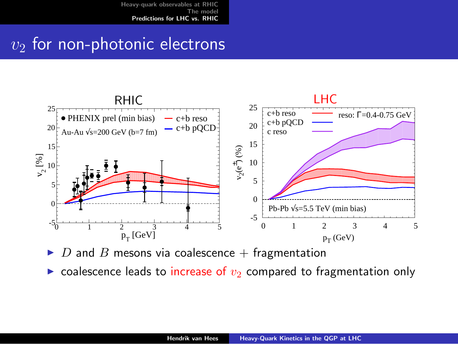## $v_2$  for non-photonic electrons



 $\blacktriangleright$  D and B mesons via coalescence + fragmentation

 $\triangleright$  coalescence leads to increase of  $v_2$  compared to fragmentation only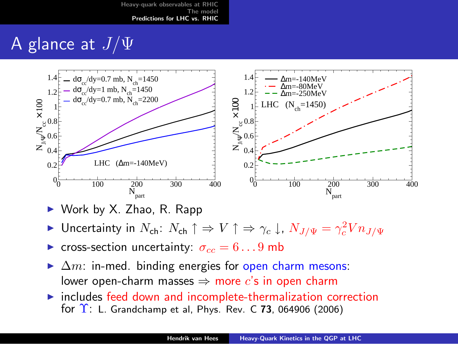[Heavy-quark observables at RHIC](#page-2-0) [The model](#page-3-0) [Predictions for LHC vs. RHIC](#page-6-0)

# A glance at  $J/\Psi$



- $\triangleright$  Work by X. Zhao, R. Rapp
- ► Uncertainty in  $N_{\mathsf{ch}}\colon N_{\mathsf{ch}} \uparrow \Rightarrow V \uparrow \Rightarrow \gamma_c \downarrow$ ,  $N_{J/\Psi} = \gamma_c^2 V n_{J/\Psi}$
- **F** cross-section uncertainty:  $\sigma_{cc} = 6...9$  mb
- $\triangleright$   $\Delta m$ : in-med. binding energies for open charm mesons: lower open-charm masses  $\Rightarrow$  more c's in open charm
- $\triangleright$  includes feed down and incomplete-thermalization correction for  $\Upsilon$ : L. Grandchamp et al, Phys. Rev. C 73, 064906 (2006)